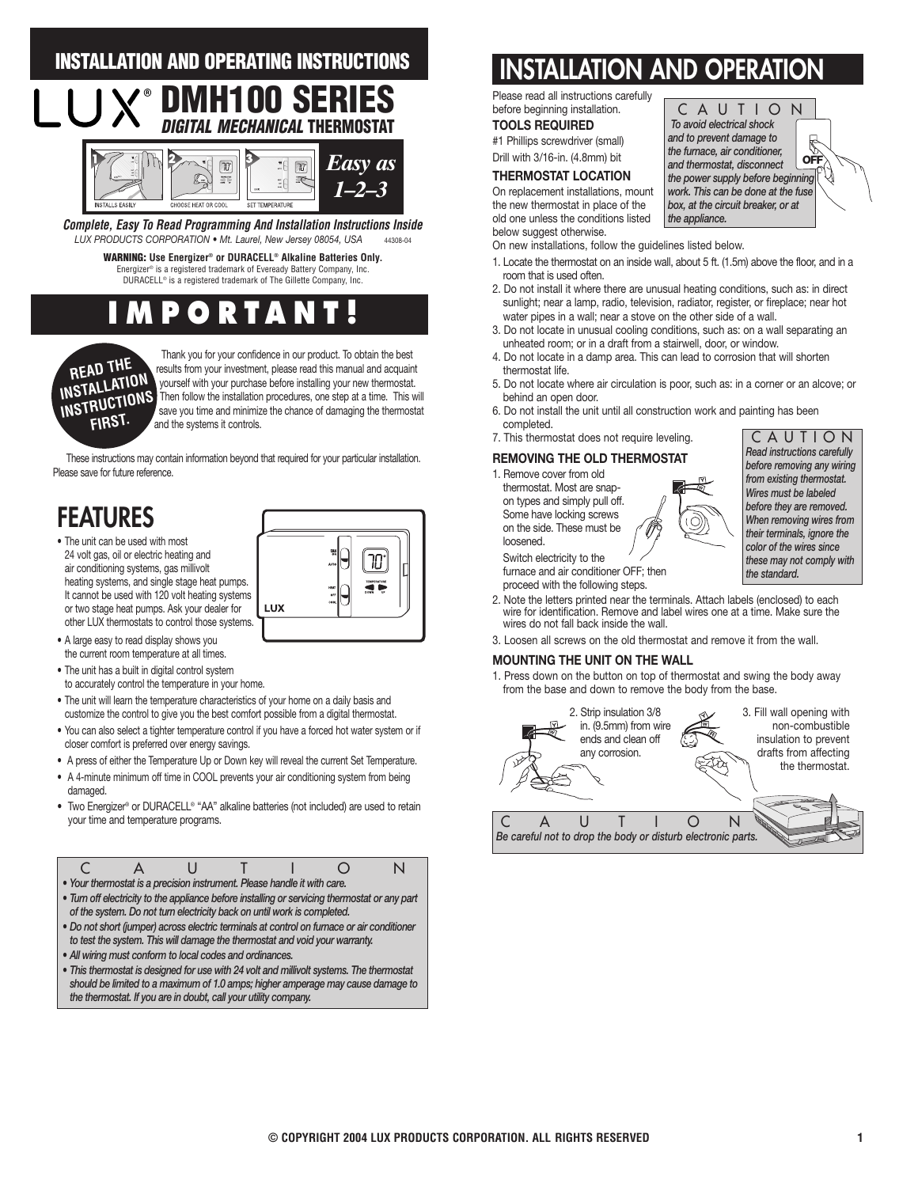# **INSTALLATION AND OPERATING INSTRUCTIONS**



*LUX PRODUCTS CORPORATION • Mt. Laurel, New Jersey 08054, USA* 44308-04 **Complete, Easy To Read Programming And Installation Instructions Inside**

> **WARNING: Use Energizer® or DURACELL® Alkaline Batteries Only.** Energizer® is a registered trademark of Eveready Battery Company, Inc. DURACELL® is a registered trademark of The Gillette Company, Inc.

# **PORTA**



Thank you for your confidence in our product. To obtain the best results from your investment, please read this manual and acquaint yourself with your purchase before installing your new thermostat. Then follow the installation procedures, one step at a time. This will save you time and minimize the chance of damaging the thermostat and the systems it controls.

These instructions may contain information beyond that required for your particular installation. Please save for future reference.

# **FEATURES**

- The unit can be used with most 24 volt gas, oil or electric heating and air conditioning systems, gas millivolt heating systems, and single stage heat pumps. It cannot be used with 120 volt heating systems or two stage heat pumps. Ask your dealer for other LUX thermostats to control those systems.
- LUX
- A large easy to read display shows you the current room temperature at all times.
- The unit has a built in digital control system
- to accurately control the temperature in your home.
- The unit will learn the temperature characteristics of your home on a daily basis and customize the control to give you the best comfort possible from a digital thermostat.
- You can also select a tighter temperature control if you have a forced hot water system or if closer comfort is preferred over energy savings.
- **•** A press of either the Temperature Up or Down key will reveal the current Set Temperature.
- A 4-minute minimum off time in COOL prevents your air conditioning system from being damaged.
- Two Energizer® or DURACELL® "AA" alkaline batteries (not included) are used to retain your time and temperature programs.

|                                                                                               | • Your thermostat is a precision instrument. Please handle it with care. |  |  |  |  |  |  |
|-----------------------------------------------------------------------------------------------|--------------------------------------------------------------------------|--|--|--|--|--|--|
| • Turn off electricity to the appliance before installing or servicing thermostat or any part |                                                                          |  |  |  |  |  |  |
| of the system. Do not turn electricity back on until work is completed.                       |                                                                          |  |  |  |  |  |  |
| • Do not short (jumper) across electric terminals at control on furnace or air conditioner    |                                                                          |  |  |  |  |  |  |
| to test the system. This will damage the thermostat and void your warranty.                   |                                                                          |  |  |  |  |  |  |
| • All wiring must conform to local codes and ordinances.                                      |                                                                          |  |  |  |  |  |  |

*• This thermostat is designed for use with 24 volt and millivolt systems. The thermostat should be limited to a maximum of 1.0 amps; higher amperage may cause damage to the thermostat. If you are in doubt, call your utility company.* 

# **INSTALLATION AND OPERATIO**

Please read all instructions carefully before beginning installation.

## **TOOLS REQUIRED**

#1 Phillips screwdriver (small) Drill with 3/16-in. (4.8mm) bit

### **THERMOSTAT LOCATION**

On replacement installations, mount the new thermostat in place of the old one unless the conditions listed below suggest otherwise.

CAUTION *To avoid electrical shock and to prevent damage to*  5 *the furnace, air conditioner,*  **OFF** *and thermostat, disconnect the power supply before beginning work. This can be done at the fuse box, at the circuit breaker, or at the appliance.*

- On new installations, follow the guidelines listed below.
- 1. Locate the thermostat on an inside wall, about 5 ft. (1.5m) above the floor, and in a room that is used often.
- 2. Do not install it where there are unusual heating conditions, such as: in direct sunlight; near a lamp, radio, television, radiator, register, or fireplace; near hot water pipes in a wall; near a stove on the other side of a wall.
- 3. Do not locate in unusual cooling conditions, such as: on a wall separating an unheated room; or in a draft from a stairwell, door, or window.
- 4. Do not locate in a damp area. This can lead to corrosion that will shorten thermostat life.
- 5. Do not locate where air circulation is poor, such as: in a corner or an alcove; or behind an open door.

**Y W**

- 6. Do not install the unit until all construction work and painting has been completed.
- 7. This thermostat does not require leveling.

## **REMOVING THE OLD THERMOSTAT**

1. Remove cover from old

thermostat. Most are snapon types and simply pull off. Some have locking screws on the side. These must be loosened.

Switch electricity to the furnace and air conditioner OFF; then

- proceed with the following steps.
- 2. Note the letters printed near the terminals. Attach labels (enclosed) to each wire for identification. Remove and label wires one at a time. Make sure the wires do not fall back inside the wall.
- 3. Loosen all screws on the old thermostat and remove it from the wall.

#### **MOUNTING THE UNIT ON THE WALL**

1. Press down on the button on top of thermostat and swing the body away from the base and down to remove the body from the base.



CAUTION *Read instructions carefully before removing any wiring from existing thermostat. Wires must be labeled before they are removed. When removing wires from their terminals, ignore the color of the wires since these may not comply with the standard.*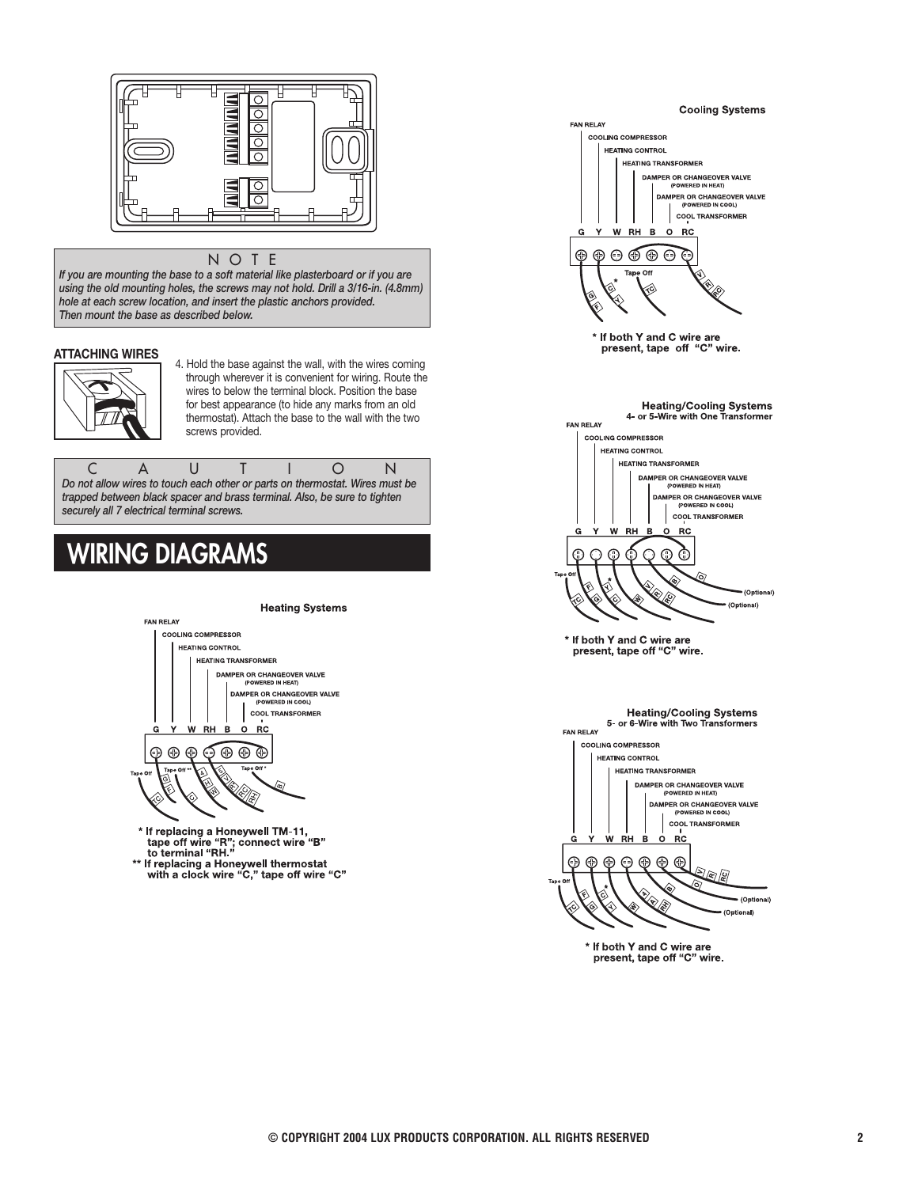

#### NOTE

*If you are mounting the base to a soft material like plasterboard or if you are using the old mounting holes, the screws may not hold. Drill a 3/16-in. (4.8mm) hole at each screw location, and insert the plastic anchors provided. Then mount the base as described below.*

### **ATTACHING WIRES**



4. Hold the base against the wall, with the wires coming through wherever it is convenient for wiring. Route the wires to below the terminal block. Position the base for best appearance (to hide any marks from an old thermostat). Attach the base to the wall with the two screws provided.

CAUTION *Do not allow wires to touch each other or parts on thermostat. Wires must be trapped between black spacer and brass terminal. Also, be sure to tighten securely all 7 electrical terminal screws.*

# **WIRING DIAGRAMS**



If replacing a Honeywell thermostat<br>with a clock wire "C," tape off wire "C"



f If both Y and C wire are<br>present, tape off "C" wire.